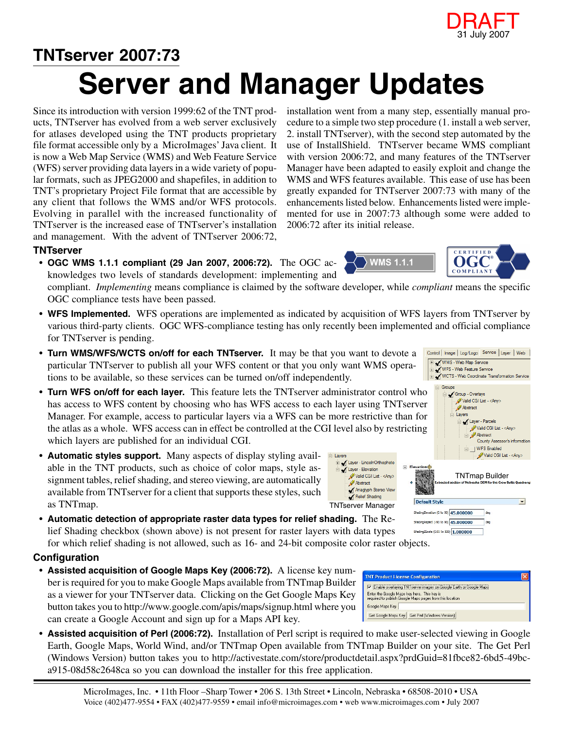

## **Server and Manager Updates TNTserver 2007:73**

Since its introduction with version 1999:62 of the TNT products, TNTserver has evolved from a web server exclusively for atlases developed using the TNT products proprietary file format accessible only by a MicroImages' Java client. It is now a Web Map Service (WMS) and Web Feature Service (WFS) server providing data layers in a wide variety of popular formats, such as JPEG2000 and shapefiles, in addition to TNT's proprietary Project File format that are accessible by any client that follows the WMS and/or WFS protocols. Evolving in parallel with the increased functionality of TNTserver is the increased ease of TNTserver's installation and management. With the advent of TNTserver 2006:72,

**TNTserver**

• **OGC WMS 1.1.1 compliant (29 Jan 2007, 2006:72).** The OGC acknowledges two levels of standards development: implementing and

compliant. *Implementing* means compliance is claimed by the software developer, while *compliant* means the specific OGC compliance tests have been passed.

• **WFS Implemented.** WFS operations are implemented as indicated by acquisition of WFS layers from TNTserver by various third-party clients. OGC WFS-compliance testing has only recently been implemented and official compliance for TNTserver is pending.

≐⊢ Lavers

Layer - Elevation

Abstract

Relief Shading

- **Turn WMS/WFS/WCTS on/off for each TNTserver.** It may be that you want to devote a particular TNTserver to publish all your WFS content or that you only want WMS operations to be available, so these services can be turned on/off independently.
- **Turn WFS on/off for each layer.** This feature lets the TNTserver administrator control who has access to WFS content by choosing who has WFS access to each layer using TNTserver Manager. For example, access to particular layers via a WFS can be more restrictive than for the atlas as a whole. WFS access can in effect be controlled at the CGI level also by restricting which layers are published for an individual CGI.
- **Automatic styles support.** Many aspects of display styling available in the TNT products, such as choice of color maps, style assignment tables, relief shading, and stereo viewing, are automatically available from TNTserver for a client that supports these styles, such as TNTmap.
- **Automatic detection of appropriate raster data types for relief shading.** The Relief Shading checkbox (shown above) is not present for raster layers with data types for which relief shading is not allowed, such as 16- and 24-bit composite color raster objects.

## **Configuration**

- **Assisted acquisition of Google Maps Key (2006:72).** A license key number is required for you to make Google Maps available from TNTmap Builder as a viewer for your TNTserver data. Clicking on the Get Google Maps Key button takes you to http://www.google.com/apis/maps/signup.html where you can create a Google Account and sign up for a Maps API key.
- **Assisted acquisition of Perl (2006:72).** Installation of Perl script is required to make user-selected viewing in Google Earth, Google Maps, World Wind, and/or TNTmap Open available from TNTmap Builder on your site. The Get Perl (Windows Version) button takes you to http://activestate.com/store/productdetail.aspx?prdGuid=81fbce82-6bd5-49bca915-08d58c2648ca so you can download the installer for this free application.

installation went from a many step, essentially manual procedure to a simple two step procedure (1. install a web server, 2. install TNTserver), with the second step automated by the use of InstallShield. TNTserver became WMS compliant with version 2006:72, and many features of the TNTserver Manager have been adapted to easily exploit and change the WMS and WFS features available. This ease of use has been greatly expanded for TNTserver 2007:73 with many of the enhancements listed below. Enhancements listed were implemented for use in 2007:73 although some were added to 2006:72 after its initial release.





Control | Image | Log/Logo | Service | Layer | Web |

 $\overline{\phantom{a}}$ 



Stading2Scale (0.01 to 100) 1.000000

V Enable overlaying TNT server images on Google Earth or Google Maps Enter the Google Maps key here. This key is<br>required to publish Google Maps pages from this location

**TNT Product License Configuration** 

Get Google Maps Key | Get Perl (Windows Version) |

Google Maps Key